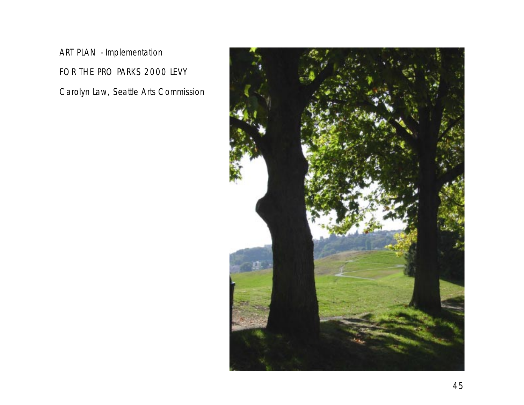ART PLAN - Implementation FOR THE PRO PARKS 2000 LEVY Carolyn Law, Seattle Arts Commission

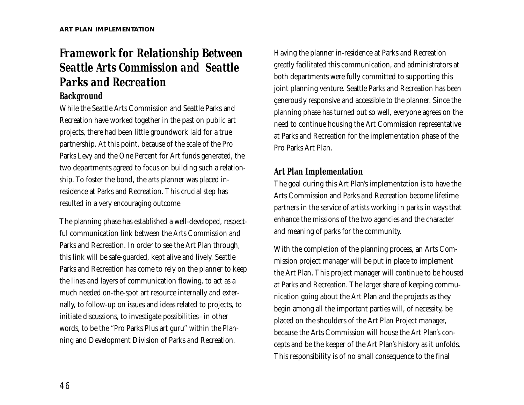## **Framework for Relationship Between Seattle Arts Commission and Seattle Parks and Recreation**

#### **Background**

While the Seattle Arts Commission and Seattle Parks and Recreation have worked together in the past on public art projects, there had been little groundwork laid for a true partnership. At this point, because of the scale of the Pro Parks Levy and the One Percent for Art funds generated, the two departments agreed to focus on building such a relationship. To foster the bond, the arts planner was placed inresidence at Parks and Recreation. This crucial step has resulted in a very encouraging outcome.

The planning phase has established a well-developed, respectful communication link between the Arts Commission and Parks and Recreation. In order to see the Art Plan through, this link will be safe-guarded, kept alive and lively. Seattle Parks and Recreation has come to rely on the planner to keep the lines and layers of communication flowing, to act as a much needed on-the-spot art resource internally and externally, to follow-up on issues and ideas related to projects, to initiate discussions, to investigate possibilities–in other words, to be the "Pro Parks Plus art guru" within the Planning and Development Division of Parks and Recreation.

Having the planner in-residence at Parks and Recreation greatly facilitated this communication, and administrators at both departments were fully committed to supporting this joint planning venture. Seattle Parks and Recreation has been generously responsive and accessible to the planner. Since the planning phase has turned out so well, everyone agrees on the need to continue housing the Art Commission representative at Parks and Recreation for the implementation phase of the Pro Parks Art Plan.

### **Art Plan Implementation**

The goal during this Art Plan's implementation is to have the Arts Commission and Parks and Recreation become lifetime partners in the service of artists working in parks in ways that enhance the missions of the two agencies and the character and meaning of parks for the community.

With the completion of the planning process, an Arts Commission project manager will be put in place to implement the Art Plan. This project manager will continue to be housed at Parks and Recreation. The larger share of keeping communication going about the Art Plan and the projects as they begin among all the important parties will, of necessity, be placed on the shoulders of the Art Plan Project manager, because the Arts Commission will house the Art Plan's concepts and be the keeper of the Art Plan's history as it unfolds. This responsibility is of no small consequence to the final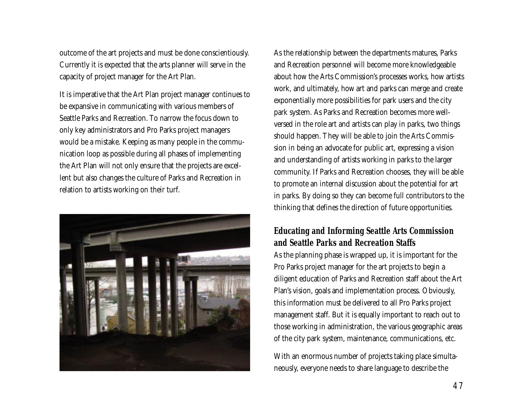outcome of the art projects and must be done conscientiously. Currently it is expected that the arts planner will serve in the capacity of project manager for the Art Plan.

It is imperative that the Art Plan project manager continues to be expansive in communicating with various members of Seattle Parks and Recreation. To narrow the focus down to only key administrators and Pro Parks project managers would be a mistake. Keeping as many people in the communication loop as possible during all phases of implementing the Art Plan will not only ensure that the projects are excellent but also changes the culture of Parks and Recreation in relation to artists working on their turf.



As the relationship between the departments matures, Parks and Recreation personnel will become more knowledgeable about how the Arts Commission's processes works, how artists work, and ultimately, how art and parks can merge and create exponentially more possibilities for park users and the city park system. As Parks and Recreation becomes more wellversed in the role art and artists can play in parks, two things should happen. They will be able to join the Arts Commission in being an advocate for public art, expressing a vision and understanding of artists working in parks to the larger community. If Parks and Recreation chooses, they will be able to promote an internal discussion about the potential for art in parks. By doing so they can become full contributors to the thinking that defines the direction of future opportunities.

### **Educating and Informing Seattle Arts Commission and Seattle Parks and Recreation Staffs**

As the planning phase is wrapped up, it is important for the Pro Parks project manager for the art projects to begin a diligent education of Parks and Recreation staff about the Art Plan's vision, goals and implementation process. Obviously, this information must be delivered to all Pro Parks project management staff. But it is equally important to reach out to those working in administration, the various geographic areas of the city park system, maintenance, communications, etc.

With an enormous number of projects taking place simultaneously, everyone needs to share language to describe the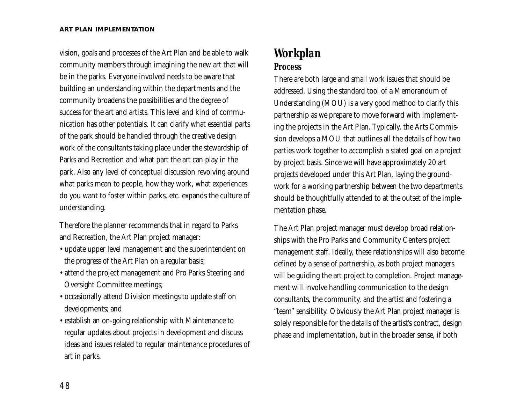vision, goals and processes of the Art Plan and be able to walk community members through imagining the new art that will be in the parks. Everyone involved needs to be aware that building an understanding within the departments and the community broadens the possibilities and the degree of success for the art and artists. This level and kind of communication has other potentials. It can clarify what essential parts of the park should be handled through the creative design work of the consultants taking place under the stewardship of Parks and Recreation and what part the art can play in the park. Also any level of conceptual discussion revolving around what parks mean to people, how they work, what experiences do you want to foster within parks, etc. expands the culture of understanding.

Therefore the planner recommends that in regard to Parks and Recreation, the Art Plan project manager:

- update upper level management and the superintendent on the progress of the Art Plan on a regular basis;
- attend the project management and Pro Parks Steering and Oversight Committee meetings;
- occasionally attend Division meetings to update staff on developments; and
- establish an on-going relationship with Maintenance to regular updates about projects in development and discuss ideas and issues related to regular maintenance procedures of art in parks.

## **Workplan Process**

There are both large and small work issues that should be addressed. Using the standard tool of a Memorandum of Understanding (MOU) is a very good method to clarify this partnership as we prepare to move forward with implementing the projects in the Art Plan. Typically, the Arts Commission develops a MOU that outlines all the details of how two parties work together to accomplish a stated goal on a project by project basis. Since we will have approximately 20 art projects developed under this Art Plan, laying the groundwork for a working partnership between the two departments should be thoughtfully attended to at the outset of the implementation phase.

The Art Plan project manager must develop broad relationships with the Pro Parks and Community Centers project management staff. Ideally, these relationships will also become defined by a sense of partnership, as both project managers will be guiding the art project to completion. Project management will involve handling communication to the design consultants, the community, and the artist and fostering a "team" sensibility. Obviously the Art Plan project manager is solely responsible for the details of the artist's contract, design phase and implementation, but in the broader sense, if both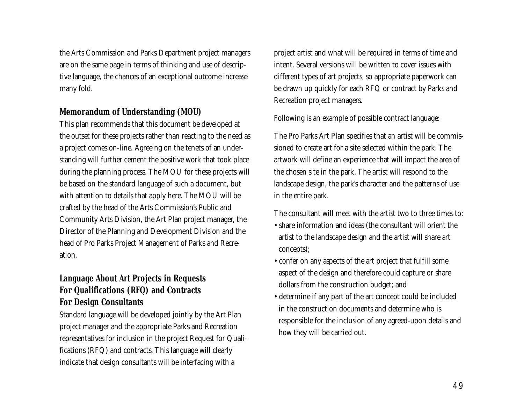the Arts Commission and Parks Department project managers are on the same page in terms of thinking and use of descriptive language, the chances of an exceptional outcome increase many fold.

### **Memorandum of Understanding (MOU)**

This plan recommends that this document be developed at the outset for these projects rather than reacting to the need as a project comes on-line. Agreeing on the tenets of an understanding will further cement the positive work that took place during the planning process. The MOU for these projects will be based on the standard language of such a document, but with attention to details that apply here. The MOU will be crafted by the head of the Arts Commission's Public and Community Arts Division, the Art Plan project manager, the Director of the Planning and Development Division and the head of Pro Parks Project Management of Parks and Recreation.

## **Language About Art Projects in Requests For Qualifications (RFQ) and Contracts For Design Consultants**

Standard language will be developed jointly by the Art Plan project manager and the appropriate Parks and Recreation representatives for inclusion in the project Request for Qualifications (RFQ) and contracts. This language will clearly indicate that design consultants will be interfacing with a

project artist and what will be required in terms of time and intent. Several versions will be written to cover issues with different types of art projects, so appropriate paperwork can be drawn up quickly for each RFQ or contract by Parks and Recreation project managers.

Following is an example of possible contract language:

The Pro Parks Art Plan specifies that an artist will be commissioned to create art for a site selected within the park. The artwork will define an experience that will impact the area of the chosen site in the park. The artist will respond to the landscape design, the park's character and the patterns of use in the entire park.

The consultant will meet with the artist two to three times to:

- share information and ideas (the consultant will orient the artist to the landscape design and the artist will share art concepts);
- confer on any aspects of the art project that fulfill some aspect of the design and therefore could capture or share dollars from the construction budget; and
- determine if any part of the art concept could be included in the construction documents and determine who is responsible for the inclusion of any agreed-upon details and how they will be carried out.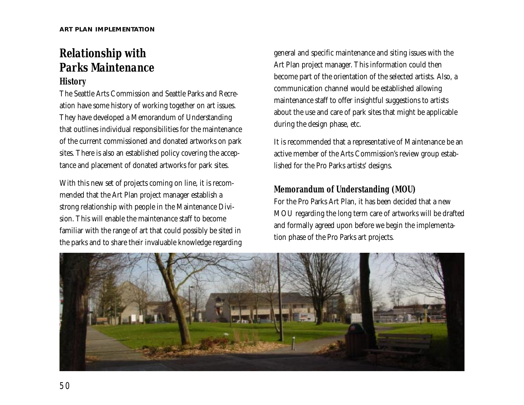#### **ART PLAN IMPLEMENTATION**

## **Relationship with Parks Maintenance**

#### **History**

The Seattle Arts Commission and Seattle Parks and Recreation have some history of working together on art issues. They have developed a Memorandum of Understanding that outlines individual responsibilities for the maintenance of the current commissioned and donated artworks on park sites. There is also an established policy covering the acceptance and placement of donated artworks for park sites.

With this new set of projects coming on line, it is recommended that the Art Plan project manager establish a strong relationship with people in the Maintenance Division. This will enable the maintenance staff to become familiar with the range of art that could possibly be sited in the parks and to share their invaluable knowledge regarding

general and specific maintenance and siting issues with the Art Plan project manager. This information could then become part of the orientation of the selected artists. Also, a communication channel would be established allowing maintenance staff to offer insightful suggestions to artists about the use and care of park sites that might be applicable during the design phase, etc.

It is recommended that a representative of Maintenance be an active member of the Arts Commission's review group established for the Pro Parks artists' designs.

#### **Memorandum of Understanding (MOU)**

For the Pro Parks Art Plan, it has been decided that a new MOU regarding the long term care of artworks will be drafted and formally agreed upon before we begin the implementation phase of the Pro Parks art projects.

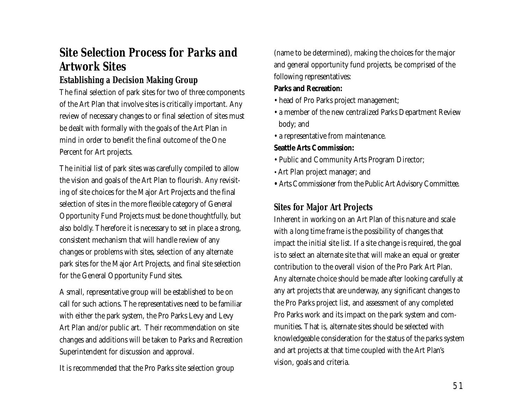## **Site Selection Process for Parks and Artwork Sites**

### **Establishing a Decision Making Group**

The final selection of park sites for two of three components of the Art Plan that involve sites is critically important. Any review of necessary changes to or final selection of sites must be dealt with formally with the goals of the Art Plan in mind in order to benefit the final outcome of the One Percent for Art projects.

The initial list of park sites was carefully compiled to allow the vision and goals of the Art Plan to flourish. Any revisiting of site choices for the Major Art Projects and the final selection of sites in the more flexible category of General Opportunity Fund Projects must be done thoughtfully, but also boldly. Therefore it is necessary to set in place a strong, consistent mechanism that will handle review of any changes or problems with sites, selection of any alternate park sites for the Major Art Projects, and final site selection for the General Opportunity Fund sites.

A small, representative group will be established to be on call for such actions. The representatives need to be familiar with either the park system, the Pro Parks Levy and Levy Art Plan and/or public art. Their recommendation on site changes and additions will be taken to Parks and Recreation Superintendent for discussion and approval.

It is recommended that the Pro Parks site selection group

(name to be determined), making the choices for the major and general opportunity fund projects, be comprised of the following representatives:

#### **Parks and Recreation:**

- head of Pro Parks project management;
- a member of the new centralized Parks Department Review body; and
- a representative from maintenance.

#### **Seattle Arts Commission:**

- Public and Community Arts Program Director;
- Art Plan project manager; and
- Arts Commissioner from the Public Art Advisory Committee.

## **Sites for Major Art Projects**

Inherent in working on an Art Plan of this nature and scale with a long time frame is the possibility of changes that impact the initial site list. If a site change is required, the goal is to select an alternate site that will make an equal or greater contribution to the overall vision of the Pro Park Art Plan. Any alternate choice should be made after looking carefully at any art projects that are underway, any significant changes to the Pro Parks project list, and assessment of any completed Pro Parks work and its impact on the park system and communities. That is, alternate sites should be selected with knowledgeable consideration for the status of the parks system and art projects at that time coupled with the Art Plan's vision, goals and criteria.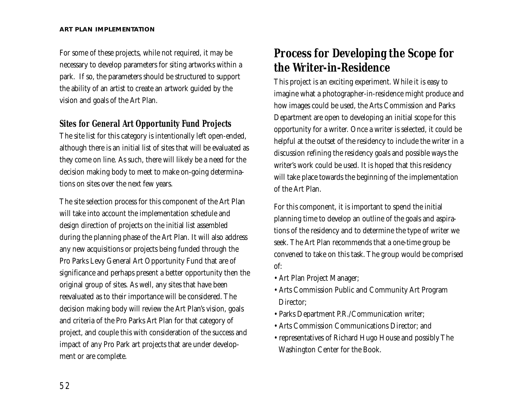#### **ART PLAN IMPLEMENTATION**

For some of these projects, while not required, it may be necessary to develop parameters for siting artworks within a park. If so, the parameters should be structured to support the ability of an artist to create an artwork guided by the vision and goals of the Art Plan.

#### **Sites for General Art Opportunity Fund Projects**

The site list for this category is intentionally left open-ended, although there is an initial list of sites that will be evaluated as they come on line. As such, there will likely be a need for the decision making body to meet to make on-going determinations on sites over the next few years.

The site selection process for this component of the Art Plan will take into account the implementation schedule and design direction of projects on the initial list assembled during the planning phase of the Art Plan. It will also address any new acquisitions or projects being funded through the Pro Parks Levy General Art Opportunity Fund that are of significance and perhaps present a better opportunity then the original group of sites. As well, any sites that have been reevaluated as to their importance will be considered. The decision making body will review the Art Plan's vision, goals and criteria of the Pro Parks Art Plan for that category of project, and couple this with consideration of the success and impact of any Pro Park art projects that are under development or are complete.

## **Process for Developing the Scope for the Writer-in-Residence**

This project is an exciting experiment. While it is easy to imagine what a photographer-in-residence might produce and how images could be used, the Arts Commission and Parks Department are open to developing an initial scope for this opportunity for a writer. Once a writer is selected, it could be helpful at the outset of the residency to include the writer in a discussion refining the residency goals and possible ways the writer's work could be used. It is hoped that this residency will take place towards the beginning of the implementation of the Art Plan.

For this component, it is important to spend the initial planning time to develop an outline of the goals and aspirations of the residency and to determine the type of writer we seek. The Art Plan recommends that a one-time group be convened to take on this task. The group would be comprised of:

- Art Plan Project Manager;
- Arts Commission Public and Community Art Program Director;
- Parks Department P.R./Communication writer;
- Arts Commission Communications Director; and
- representatives of Richard Hugo House and possibly The Washington Center for the Book.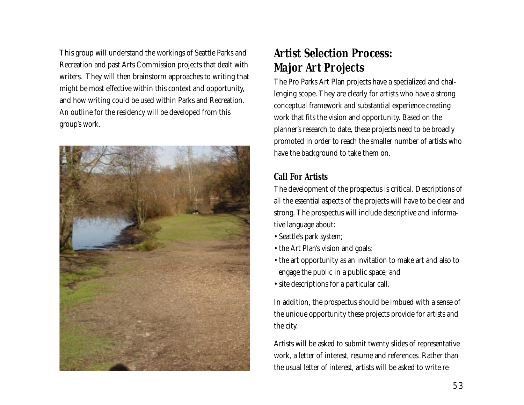This group will understand the workings of Seattle Parks and Recreation and past Arts Commission projects that dealt with writers. They will then brainstorm approaches to writing that might be most effective within this context and opportunity, and how writing could be used within Parks and Recreation. An outline for the residency will be developed from this group's work.



## **Artist Selection Process: Major Art Projects**

The Pro Parks Art Plan projects have a specialized and challenging scope. They are clearly for artists who have a strong conceptual framework and substantial experience creating work that fits the vision and opportunity. Based on the planner's research to date, these projects need to be broadly promoted in order to reach the smaller number of artists who have the background to take them on.

## **Call For Artists**

The development of the prospectus is critical. Descriptions of all the essential aspects of the projects will have to be clear and strong. The prospectus will include descriptive and informative language about:

- Seattle's park system;
- the Art Plan's vision and goals;
- the art opportunity as an invitation to make art and also to engage the public in a public space; and
- site descriptions for a particular call.

In addition, the prospectus should be imbued with a sense of the unique opportunity these projects provide for artists and the city.

Artists will be asked to submit twenty slides of representative work, a letter of interest, resume and references. Rather than the usual letter of interest, artists will be asked to write re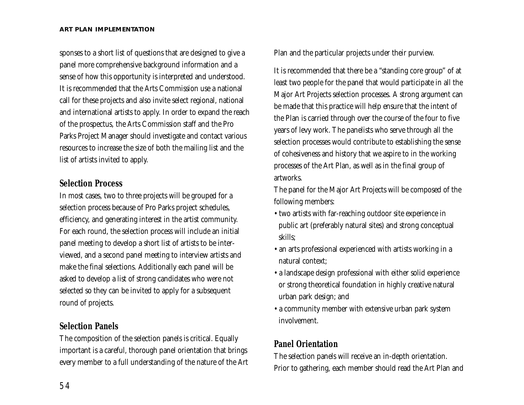sponses to a short list of questions that are designed to give a panel more comprehensive background information and a sense of how this opportunity is interpreted and understood. It is recommended that the Arts Commission use a national call for these projects and also invite select regional, national and international artists to apply. In order to expand the reach of the prospectus, the Arts Commission staff and the Pro Parks Project Manager should investigate and contact various resources to increase the size of both the mailing list and the list of artists invited to apply.

### **Selection Process**

In most cases, two to three projects will be grouped for a selection process because of Pro Parks project schedules, efficiency, and generating interest in the artist community. For each round, the selection process will include an initial panel meeting to develop a short list of artists to be interviewed, and a second panel meeting to interview artists and make the final selections. Additionally each panel will be asked to develop a list of strong candidates who were not selected so they can be invited to apply for a subsequent round of projects.

### **Selection Panels**

The composition of the selection panels is critical. Equally important is a careful, thorough panel orientation that brings every member to a full understanding of the nature of the Art Plan and the particular projects under their purview.

It is recommended that there be a "standing core group" of at least two people for the panel that would participate in all the Major Art Projects selection processes. A strong argument can be made that this practice will help ensure that the intent of the Plan is carried through over the course of the four to five years of levy work. The panelists who serve through all the selection processes would contribute to establishing the sense of cohesiveness and history that we aspire to in the working processes of the Art Plan, as well as in the final group of artworks.

The panel for the Major Art Projects will be composed of the following members:

- two artists with far-reaching outdoor site experience in public art (preferably natural sites) and strong conceptual skills;
- an arts professional experienced with artists working in a natural context;
- a landscape design professional with either solid experience or strong theoretical foundation in highly creative natural urban park design; and
- a community member with extensive urban park system involvement.

## **Panel Orientation**

The selection panels will receive an in-depth orientation. Prior to gathering, each member should read the Art Plan and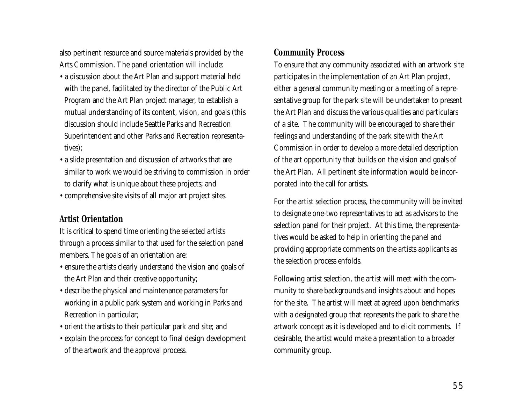also pertinent resource and source materials provided by the Arts Commission. The panel orientation will include:

- a discussion about the Art Plan and support material held with the panel, facilitated by the director of the Public Art Program and the Art Plan project manager, to establish a mutual understanding of its content, vision, and goals (this discussion should include Seattle Parks and Recreation Superintendent and other Parks and Recreation representatives);
- a slide presentation and discussion of artworks that are similar to work we would be striving to commission in order to clarify what is unique about these projects; and
- comprehensive site visits of all major art project sites.

### **Artist Orientation**

It is critical to spend time orienting the selected artists through a process similar to that used for the selection panel members. The goals of an orientation are:

- ensure the artists clearly understand the vision and goals of the Art Plan and their creative opportunity;
- describe the physical and maintenance parameters for working in a public park system and working in Parks and Recreation in particular;
- orient the artists to their particular park and site; and
- explain the process for concept to final design development of the artwork and the approval process.

### **Community Process**

To ensure that any community associated with an artwork site participates in the implementation of an Art Plan project, either a general community meeting or a meeting of a representative group for the park site will be undertaken to present the Art Plan and discuss the various qualities and particulars of a site. The community will be encouraged to share their feelings and understanding of the park site with the Art Commission in order to develop a more detailed description of the art opportunity that builds on the vision and goals of the Art Plan. All pertinent site information would be incorporated into the call for artists.

For the artist selection process, the community will be invited to designate one-two representatives to act as advisors to the selection panel for their project. At this time, the representatives would be asked to help in orienting the panel and providing appropriate comments on the artists applicants as the selection process enfolds.

Following artist selection, the artist will meet with the community to share backgrounds and insights about and hopes for the site. The artist will meet at agreed upon benchmarks with a designated group that represents the park to share the artwork concept as it is developed and to elicit comments. If desirable, the artist would make a presentation to a broader community group.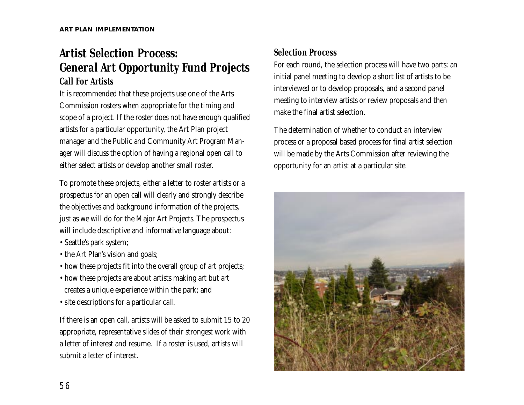## **Artist Selection Process: General Art Opportunity Fund Projects Call For Artists**

It is recommended that these projects use one of the Arts Commission rosters when appropriate for the timing and scope of a project. If the roster does not have enough qualified artists for a particular opportunity, the Art Plan project manager and the Public and Community Art Program Manager will discuss the option of having a regional open call to either select artists or develop another small roster.

To promote these projects, either a letter to roster artists or a prospectus for an open call will clearly and strongly describe the objectives and background information of the projects, just as we will do for the Major Art Projects. The prospectus will include descriptive and informative language about:

- Seattle's park system;
- the Art Plan's vision and goals;
- how these projects fit into the overall group of art projects;
- how these projects are about artists making art but art creates a unique experience within the park; and
- site descriptions for a particular call.

If there is an open call, artists will be asked to submit 15 to 20 appropriate, representative slides of their strongest work with a letter of interest and resume. If a roster is used, artists will submit a letter of interest.

## **Selection Process**

For each round, the selection process will have two parts: an initial panel meeting to develop a short list of artists to be interviewed or to develop proposals, and a second panel meeting to interview artists or review proposals and then make the final artist selection.

The determination of whether to conduct an interview process or a proposal based process for final artist selection will be made by the Arts Commission after reviewing the opportunity for an artist at a particular site.

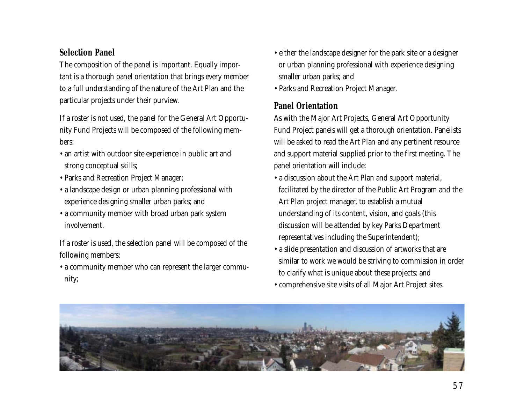### **Selection Panel**

The composition of the panel is important. Equally important is a thorough panel orientation that brings every member to a full understanding of the nature of the Art Plan and the particular projects under their purview.

If a roster is not used, the panel for the General Art Opportunity Fund Projects will be composed of the following members:

- an artist with outdoor site experience in public art and strong conceptual skills;
- Parks and Recreation Project Manager;
- a landscape design or urban planning professional with experience designing smaller urban parks; and
- a community member with broad urban park system involvement.

If a roster is used, the selection panel will be composed of the following members:

• a community member who can represent the larger community;

- either the landscape designer for the park site or a designer or urban planning professional with experience designing smaller urban parks; and
- Parks and Recreation Project Manager.

### **Panel Orientation**

As with the Major Art Projects, General Art Opportunity Fund Project panels will get a thorough orientation. Panelists will be asked to read the Art Plan and any pertinent resource and support material supplied prior to the first meeting. The panel orientation will include:

- a discussion about the Art Plan and support material, facilitated by the director of the Public Art Program and the Art Plan project manager, to establish a mutual understanding of its content, vision, and goals (this discussion will be attended by key Parks Department representatives including the Superintendent);
- a slide presentation and discussion of artworks that are similar to work we would be striving to commission in order to clarify what is unique about these projects; and
- comprehensive site visits of all Major Art Project sites.

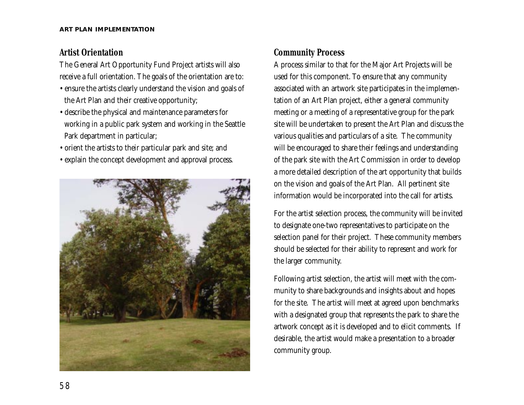### **Artist Orientation**

The General Art Opportunity Fund Project artists will also receive a full orientation. The goals of the orientation are to:

- ensure the artists clearly understand the vision and goals of the Art Plan and their creative opportunity;
- describe the physical and maintenance parameters for working in a public park system and working in the Seattle Park department in particular;
- orient the artists to their particular park and site; and
- explain the concept development and approval process.



### **Community Process**

A process similar to that for the Major Art Projects will be used for this component. To ensure that any community associated with an artwork site participates in the implementation of an Art Plan project, either a general community meeting or a meeting of a representative group for the park site will be undertaken to present the Art Plan and discuss the various qualities and particulars of a site. The community will be encouraged to share their feelings and understanding of the park site with the Art Commission in order to develop a more detailed description of the art opportunity that builds on the vision and goals of the Art Plan. All pertinent site information would be incorporated into the call for artists.

For the artist selection process, the community will be invited to designate one-two representatives to participate on the selection panel for their project. These community members should be selected for their ability to represent and work for the larger community.

Following artist selection, the artist will meet with the community to share backgrounds and insights about and hopes for the site. The artist will meet at agreed upon benchmarks with a designated group that represents the park to share the artwork concept as it is developed and to elicit comments. If desirable, the artist would make a presentation to a broader community group.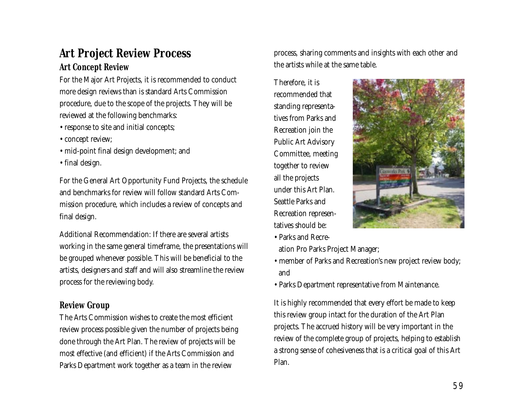# **Art Project Review Process**

### **Art Concept Review**

For the Major Art Projects, it is recommended to conduct more design reviews than is standard Arts Commission procedure, due to the scope of the projects. They will be reviewed at the following benchmarks:

- response to site and initial concepts;
- concept review;
- mid-point final design development; and
- final design.

For the General Art Opportunity Fund Projects, the schedule and benchmarks for review will follow standard Arts Commission procedure, which includes a review of concepts and final design.

Additional Recommendation: If there are several artists working in the same general timeframe, the presentations will be grouped whenever possible. This will be beneficial to the artists, designers and staff and will also streamline the review process for the reviewing body.

## **Review Group**

The Arts Commission wishes to create the most efficient review process possible given the number of projects being done through the Art Plan. The review of projects will be most effective (and efficient) if the Arts Commission and Parks Department work together as a team in the review

process, sharing comments and insights with each other and the artists while at the same table.

Therefore, it is recommended that standing representatives from Parks and Recreation join the Public Art Advisory Committee, meeting together to review all the projects under this Art Plan. Seattle Parks and Recreation representatives should be:



• Parks and Recre-

ation Pro Parks Project Manager;

- member of Parks and Recreation's new project review body; and
- Parks Department representative from Maintenance.

It is highly recommended that every effort be made to keep this review group intact for the duration of the Art Plan projects. The accrued history will be very important in the review of the complete group of projects, helping to establish a strong sense of cohesiveness that is a critical goal of this Art Plan.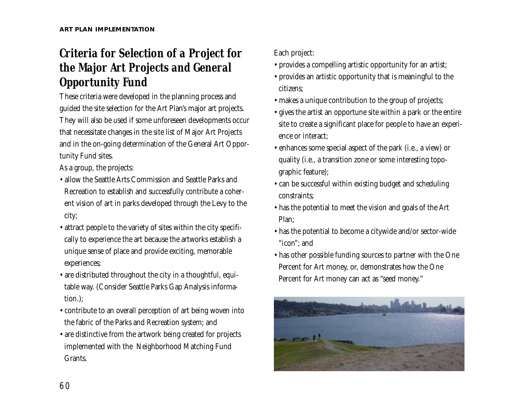## **Criteria for Selection of a Project for the Major Art Projects and General Opportunity Fund**

These criteria were developed in the planning process and guided the site selection for the Art Plan's major art projects. They will also be used if some unforeseen developments occur that necessitate changes in the site list of Major Art Projects and in the on-going determination of the General Art Opportunity Fund sites.

As a group, the projects:

- allow the Seattle Arts Commission and Seattle Parks and Recreation to establish and successfully contribute a coherent vision of art in parks developed through the Levy to the city;
- attract people to the variety of sites within the city specifically to experience the art because the artworks establish a unique sense of place and provide exciting, memorable experiences;
- are distributed throughout the city in a thoughtful, equitable way. (Consider Seattle Parks Gap Analysis information.);
- contribute to an overall perception of art being woven into the fabric of the Parks and Recreation system; and
- are distinctive from the artwork being created for projects implemented with the Neighborhood Matching Fund Grants.

Each project:

- provides a compelling artistic opportunity for an artist;
- provides an artistic opportunity that is meaningful to the citizens;
- makes a unique contribution to the group of projects;
- gives the artist an opportune site within a park or the entire site to create a significant place for people to have an experience or interact;
- enhances some special aspect of the park (i.e., a view) or quality (i.e., a transition zone or some interesting topographic feature);
- can be successful within existing budget and scheduling constraints;
- has the potential to meet the vision and goals of the Art Plan;
- has the potential to become a citywide and/or sector-wide "icon"; and
- has other possible funding sources to partner with the One Percent for Art money, or, demonstrates how the One Percent for Art money can act as "seed money."

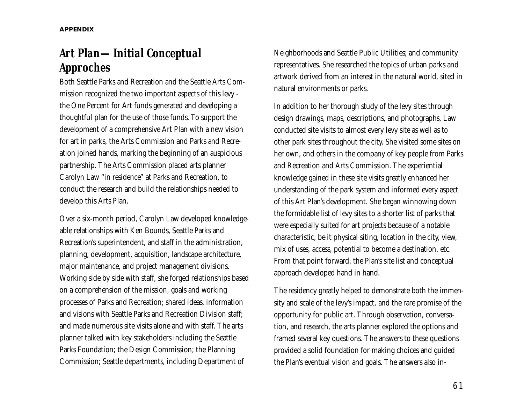## **Art Plan—Initial Conceptual Approches**

Both Seattle Parks and Recreation and the Seattle Arts Commission recognized the two important aspects of this levy the One Percent for Art funds generated and developing a thoughtful plan for the use of those funds. To support the development of a comprehensive Art Plan with a new vision for art in parks, the Arts Commission and Parks and Recreation joined hands, marking the beginning of an auspicious partnership. The Arts Commission placed arts planner Carolyn Law "in residence" at Parks and Recreation, to conduct the research and build the relationships needed to develop this Arts Plan.

Over a six-month period, Carolyn Law developed knowledgeable relationships with Ken Bounds, Seattle Parks and Recreation's superintendent, and staff in the administration, planning, development, acquisition, landscape architecture, major maintenance, and project management divisions. Working side by side with staff, she forged relationships based on a comprehension of the mission, goals and working processes of Parks and Recreation; shared ideas, information and visions with Seattle Parks and Recreation Division staff; and made numerous site visits alone and with staff. The arts planner talked with key stakeholders including the Seattle Parks Foundation; the Design Commission; the Planning Commission; Seattle departments, including Department of

Neighborhoods and Seattle Public Utilities; and community representatives. She researched the topics of urban parks and artwork derived from an interest in the natural world, sited in natural environments or parks.

In addition to her thorough study of the levy sites through design drawings, maps, descriptions, and photographs, Law conducted site visits to almost every levy site as well as to other park sites throughout the city. She visited some sites on her own, and others in the company of key people from Parks and Recreation and Arts Commission. The experiential knowledge gained in these site visits greatly enhanced her understanding of the park system and informed every aspect of this Art Plan's development. She began winnowing down the formidable list of levy sites to a shorter list of parks that were especially suited for art projects because of a notable characteristic, be it physical siting, location in the city, view, mix of uses, access, potential to become a destination, etc. From that point forward, the Plan's site list and conceptual approach developed hand in hand.

The residency greatly helped to demonstrate both the immensity and scale of the levy's impact, and the rare promise of the opportunity for public art. Through observation, conversation, and research, the arts planner explored the options and framed several key questions. The answers to these questions provided a solid foundation for making choices and guided the Plan's eventual vision and goals. The answers also in-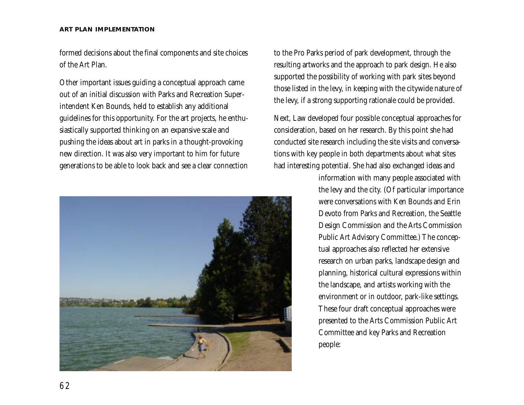#### **ART PLAN IMPLEMENTATION**

formed decisions about the final components and site choices of the Art Plan.

Other important issues guiding a conceptual approach came out of an initial discussion with Parks and Recreation Superintendent Ken Bounds, held to establish any additional guidelines for this opportunity. For the art projects, he enthusiastically supported thinking on an expansive scale and pushing the ideas about art in parks in a thought-provoking new direction. It was also very important to him for future generations to be able to look back and see a clear connection



to the Pro Parks period of park development, through the resulting artworks and the approach to park design. He also supported the possibility of working with park sites beyond those listed in the levy, in keeping with the citywide nature of the levy, if a strong supporting rationale could be provided.

Next, Law developed four possible conceptual approaches for consideration, based on her research. By this point she had conducted site research including the site visits and conversations with key people in both departments about what sites had interesting potential. She had also exchanged ideas and

> information with many people associated with the levy and the city. (Of particular importance were conversations with Ken Bounds and Erin Devoto from Parks and Recreation, the Seattle Design Commission and the Arts Commission Public Art Advisory Committee.) The conceptual approaches also reflected her extensive research on urban parks, landscape design and planning, historical cultural expressions within the landscape, and artists working with the environment or in outdoor, park-like settings. These four draft conceptual approaches were presented to the Arts Commission Public Art Committee and key Parks and Recreation people: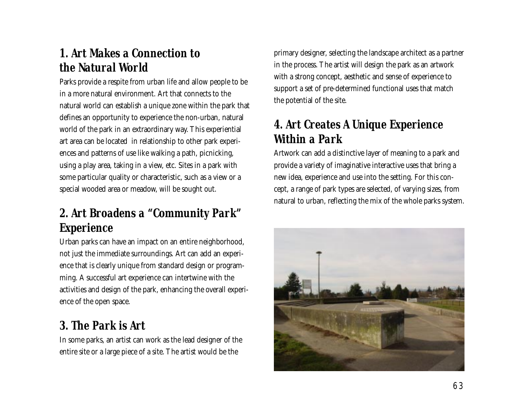# **1. Art Makes a Connection to the Natural World**

Parks provide a respite from urban life and allow people to be in a more natural environment. Art that connects to the natural world can establish a unique zone within the park that defines an opportunity to experience the non-urban, natural world of the park in an extraordinary way. This experiential art area can be located in relationship to other park experiences and patterns of use like walking a path, picnicking, using a play area, taking in a view, etc. Sites in a park with some particular quality or characteristic, such as a view or a special wooded area or meadow, will be sought out.

# **2. Art Broadens a "Community Park" Experience**

Urban parks can have an impact on an entire neighborhood, not just the immediate surroundings. Art can add an experience that is clearly unique from standard design or programming. A successful art experience can intertwine with the activities and design of the park, enhancing the overall experience of the open space.

## **3. The Park is Art**

In some parks, an artist can work as the lead designer of the entire site or a large piece of a site. The artist would be the

primary designer, selecting the landscape architect as a partner in the process. The artist will design the park as an artwork with a strong concept, aesthetic and sense of experience to support a set of pre-determined functional uses that match the potential of the site.

## **4. Art Creates A Unique Experience Within a Park**

Artwork can add a distinctive layer of meaning to a park and provide a variety of imaginative interactive uses that bring a new idea, experience and use into the setting. For this concept, a range of park types are selected, of varying sizes, from natural to urban, reflecting the mix of the whole parks system.

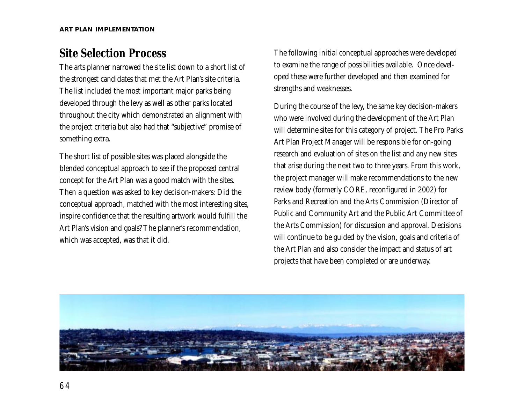## **Site Selection Process**

The arts planner narrowed the site list down to a short list of the strongest candidates that met the Art Plan's site criteria. The list included the most important major parks being developed through the levy as well as other parks located throughout the city which demonstrated an alignment with the project criteria but also had that "subjective" promise of something extra.

The short list of possible sites was placed alongside the blended conceptual approach to see if the proposed central concept for the Art Plan was a good match with the sites. Then a question was asked to key decision-makers: Did the conceptual approach, matched with the most interesting sites, inspire confidence that the resulting artwork would fulfill the Art Plan's vision and goals? The planner's recommendation, which was accepted, was that it did.

The following initial conceptual approaches were developed to examine the range of possibilities available. Once developed these were further developed and then examined for strengths and weaknesses.

During the course of the levy, the same key decision-makers who were involved during the development of the Art Plan will determine sites for this category of project. The Pro Parks Art Plan Project Manager will be responsible for on-going research and evaluation of sites on the list and any new sites that arise during the next two to three years. From this work, the project manager will make recommendations to the new review body (formerly CORE, reconfigured in 2002) for Parks and Recreation and the Arts Commission (Director of Public and Community Art and the Public Art Committee of the Arts Commission) for discussion and approval. Decisions will continue to be guided by the vision, goals and criteria of the Art Plan and also consider the impact and status of art projects that have been completed or are underway.

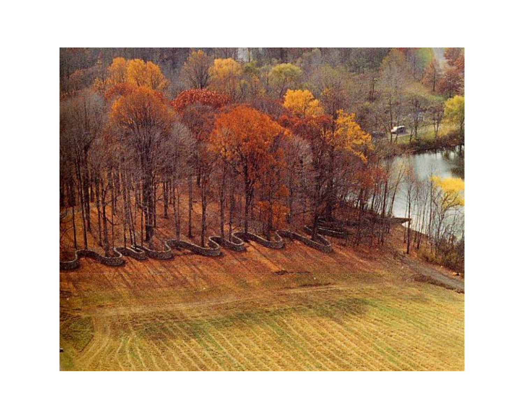